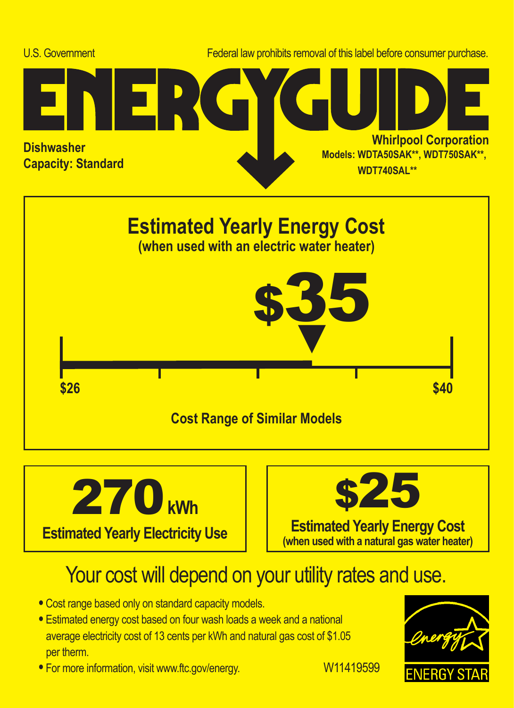





## Your cost will depend on your utility rates and use.

- **•** Cost range based only on standard capacity models.
- **•** Estimated energy cost based on four wash loads a week and a national average electricity cost of 13 cents per kWh and natural gas cost of \$1.05 per therm.
- For more information, visit www.ftc.gov/energy. W11419599